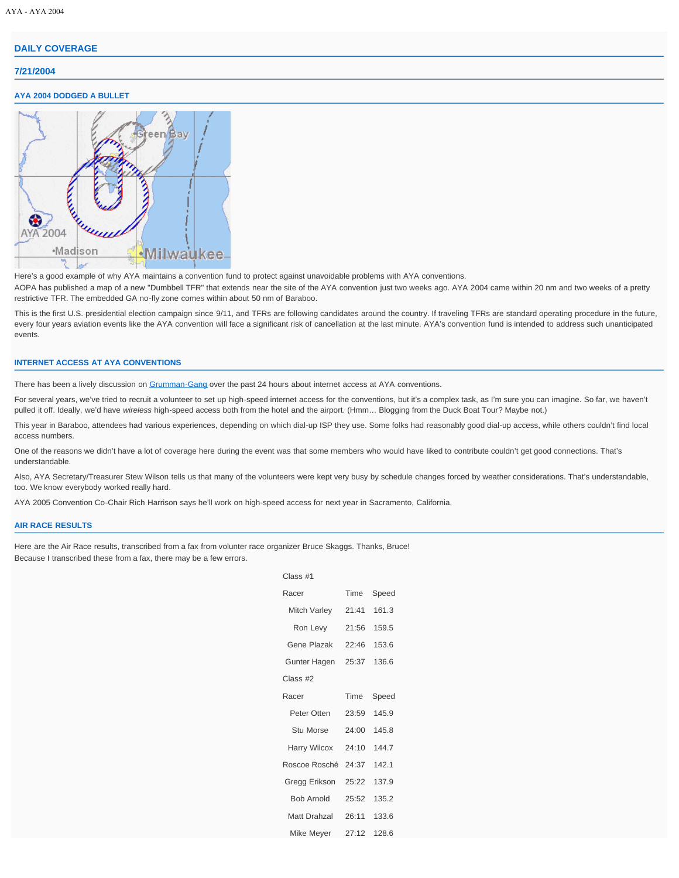# **[DAILY COVERAGE](http://clubhouse.aya.org/aya2004/daily)**

## **7/21/2004**

### **AYA 2004 DODGED A BULLET**



Here's a good example of why AYA maintains a convention fund to protect against unavoidable problems with AYA conventions.

AOPA has published a map of a new "Dumbbell TFR" that extends near the site of the AYA convention just two weeks ago. AYA 2004 came within 20 nm and two weeks of a pretty restrictive TFR. The embedded GA no-fly zone comes within about 50 nm of Baraboo.

This is the first U.S. presidential election campaign since 9/11, and TFRs are following candidates around the country. If traveling TFRs are standard operating procedure in the future, every four years aviation events like the AYA convention will face a significant risk of cancellation at the last minute. AYA's convention fund is intended to address such unanticipated events.

#### **INTERNET ACCESS AT AYA CONVENTIONS**

There has been a lively discussion on [Grumman-Gang](http://www.grumman.net/) over the past 24 hours about internet access at AYA conventions.

For several years, we've tried to recruit a volunteer to set up high-speed internet access for the conventions, but it's a complex task, as I'm sure you can imagine. So far, we haven't pulled it off. Ideally, we'd have *wireless* high-speed access both from the hotel and the airport. (Hmm… Blogging from the Duck Boat Tour? Maybe not.)

This year in Baraboo, attendees had various experiences, depending on which dial-up ISP they use. Some folks had reasonably good dial-up access, while others couldn't find local access numbers.

One of the reasons we didn't have a lot of coverage here during the event was that some members who would have liked to contribute couldn't get good connections. That's understandable.

 $C<sub>l</sub>$ 

Also, AYA Secretary/Treasurer Stew Wilson tells us that many of the volunteers were kept very busy by schedule changes forced by weather considerations. That's understandable, too. We know everybody worked really hard.

AYA 2005 Convention Co-Chair Rich Harrison says he'll work on high-speed access for next year in Sacramento, California.

#### **AIR RACE RESULTS**

Here are the Air Race results, transcribed from a fax from volunter race organizer Bruce Skaggs. Thanks, Bruce! Because I transcribed these from a fax, there may be a few errors.

| Time  | Speed |
|-------|-------|
| 21:41 | 1613  |
| 21:56 | 159.5 |
| 22:46 | 153.6 |
| 25:37 | 136.6 |
|       |       |
| Time  | Speed |
| 23:59 | 145.9 |
| 24:00 | 1458  |
| 24:10 | 1447  |
| 24:37 | 1421  |
| 25:22 | 137.9 |
| 25:52 | 135.2 |
| 26:11 | 133.6 |
| 27:12 | 128.6 |
|       |       |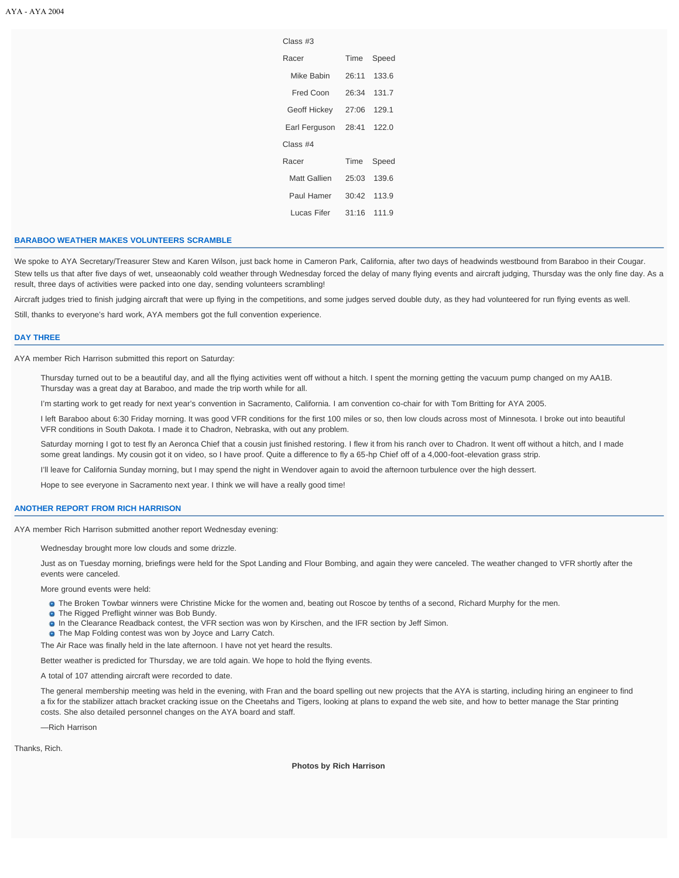| Class #3      |             |              |  |
|---------------|-------------|--------------|--|
| Racer         | Time        | Speed        |  |
| Mike Babin    | 26:11       | 133.6        |  |
| Fred Coon     | 26:34       | 1317         |  |
| Geoff Hickey  | 27:06 129.1 |              |  |
| Earl Ferguson |             | 28:41 122.0  |  |
| Class#4       |             |              |  |
| Racer         | Time        | Speed        |  |
| Matt Gallien  |             | 25:03 139.6  |  |
| Paul Hamer    |             | 30:42 113.9  |  |
| Lucas Fifer   |             | $31.16$ 1119 |  |

### **BARABOO WEATHER MAKES VOLUNTEERS SCRAMBLE**

We spoke to AYA Secretary/Treasurer Stew and Karen Wilson, just back home in Cameron Park, California, after two days of headwinds westbound from Baraboo in their Cougar. Stew tells us that after five days of wet, unseaonably cold weather through Wednesday forced the delay of many flying events and aircraft judging, Thursday was the only fine day. As a result, three days of activities were packed into one day, sending volunteers scrambling!

Aircraft judges tried to finish judging aircraft that were up flying in the competitions, and some judges served double duty, as they had volunteered for run flying events as well.

Still, thanks to everyone's hard work, AYA members got the full convention experience.

#### **DAY THREE**

AYA member Rich Harrison submitted this report on Saturday:

Thursday turned out to be a beautiful day, and all the flying activities went off without a hitch. I spent the morning getting the vacuum pump changed on my AA1B. Thursday was a great day at Baraboo, and made the trip worth while for all.

I'm starting work to get ready for next year's convention in Sacramento, California. I am convention co-chair for with Tom Britting for AYA 2005.

I left Baraboo about 6:30 Friday morning. It was good VFR conditions for the first 100 miles or so, then low clouds across most of Minnesota. I broke out into beautiful VFR conditions in South Dakota. I made it to Chadron, Nebraska, with out any problem.

Saturday morning I got to test fly an Aeronca Chief that a cousin just finished restoring. I flew it from his ranch over to Chadron. It went off without a hitch, and I made some great landings. My cousin got it on video, so I have proof. Quite a difference to fly a 65-hp Chief off of a 4,000-foot-elevation grass strip.

I'll leave for California Sunday morning, but I may spend the night in Wendover again to avoid the afternoon turbulence over the high dessert.

Hope to see everyone in Sacramento next year. I think we will have a really good time!

#### **ANOTHER REPORT FROM RICH HARRISON**

AYA member Rich Harrison submitted another report Wednesday evening:

Wednesday brought more low clouds and some drizzle.

Just as on Tuesday morning, briefings were held for the Spot Landing and Flour Bombing, and again they were canceled. The weather changed to VFR shortly after the events were canceled.

More ground events were held:

**The Broken Towbar winners were Christine Micke for the women and, beating out Roscoe by tenths of a second, Richard Murphy for the men.** 

- **O** The Rigged Preflight winner was Bob Bundy.
- **a** In the Clearance Readback contest, the VFR section was won by Kirschen, and the IFR section by Jeff Simon.
- **O** The Map Folding contest was won by Joyce and Larry Catch.

The Air Race was finally held in the late afternoon. I have not yet heard the results.

Better weather is predicted for Thursday, we are told again. We hope to hold the flying events.

A total of 107 attending aircraft were recorded to date.

The general membership meeting was held in the evening, with Fran and the board spelling out new projects that the AYA is starting, including hiring an engineer to find a fix for the stabilizer attach bracket cracking issue on the Cheetahs and Tigers, looking at plans to expand the web site, and how to better manage the Star printing costs. She also detailed personnel changes on the AYA board and staff.

—Rich Harrison

Thanks, Rich.

**Photos by Rich Harrison**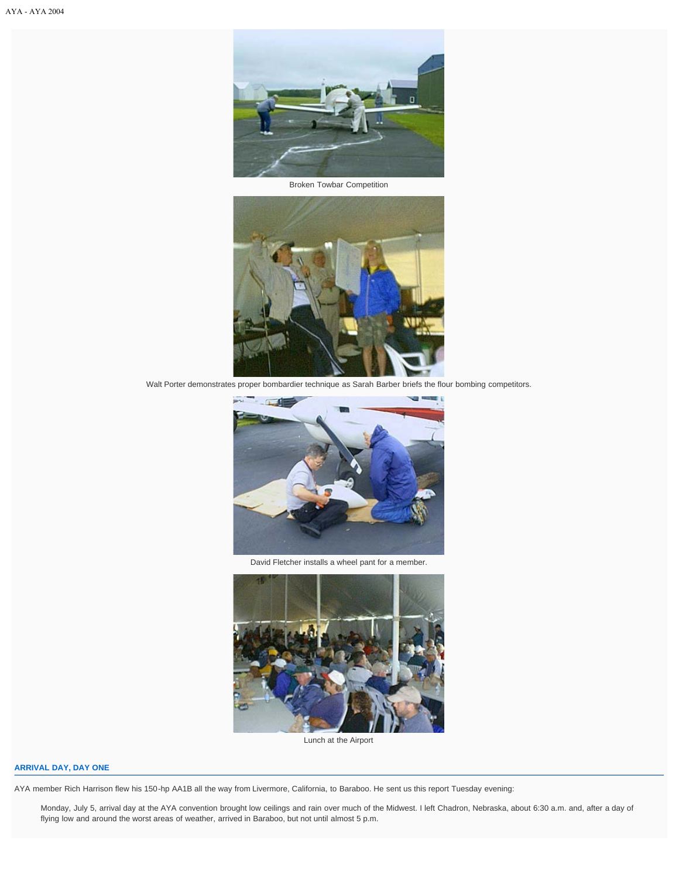

Broken Towbar Competition



Walt Porter demonstrates proper bombardier technique as Sarah Barber briefs the flour bombing competitors.



David Fletcher installs a wheel pant for a member.



Lunch at the Airport

# **ARRIVAL DAY, DAY ONE**

AYA member Rich Harrison flew his 150-hp AA1B all the way from Livermore, California, to Baraboo. He sent us this report Tuesday evening:

Monday, July 5, arrival day at the AYA convention brought low ceilings and rain over much of the Midwest. I left Chadron, Nebraska, about 6:30 a.m. and, after a day of flying low and around the worst areas of weather, arrived in Baraboo, but not until almost 5 p.m.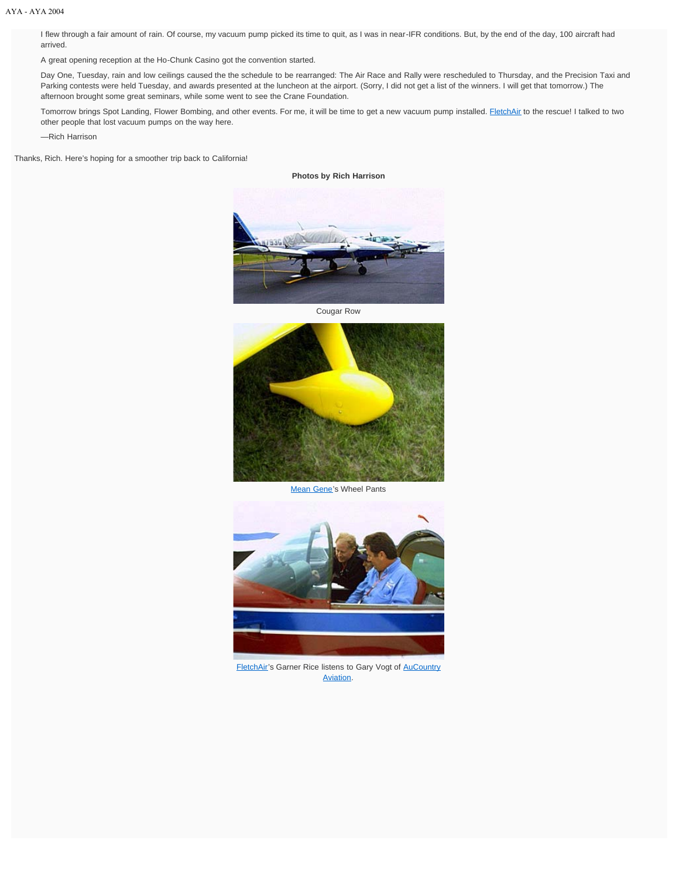I flew through a fair amount of rain. Of course, my vacuum pump picked its time to quit, as I was in near-IFR conditions. But, by the end of the day, 100 aircraft had arrived.

A great opening reception at the Ho-Chunk Casino got the convention started.

Day One, Tuesday, rain and low ceilings caused the the schedule to be rearranged: The Air Race and Rally were rescheduled to Thursday, and the Precision Taxi and Parking contests were held Tuesday, and awards presented at the luncheon at the airport. (Sorry, I did not get a list of the winners. I will get that tomorrow.) The afternoon brought some great seminars, while some went to see the Crane Foundation.

Tomorrow brings Spot Landing, Flower Bombing, and other events. For me, it will be time to get a new vacuum pump installed. **FletchAir** to the rescue! I talked to two other people that lost vacuum pumps on the way here.

—Rich Harrison

Thanks, Rich. Here's hoping for a smoother trip back to California!

**Photos by Rich Harrison**



Cougar Row



[Mean Gene](http://dmaspeedmods.airweb.net/)'s Wheel Pants



[FletchAir'](http://www.fletchair.com/)s Garner Rice listens to Gary Vogt of [AuCountry](http://www.aucountry.com/) [Aviation.](http://www.aucountry.com/)